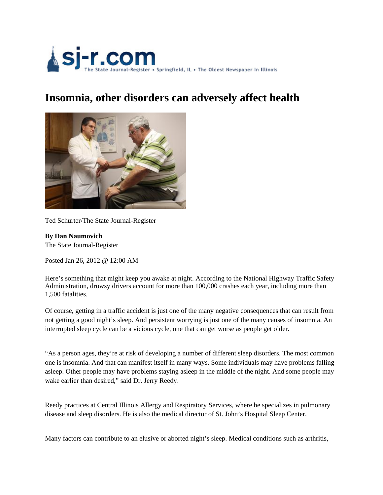

## **Insomnia, other disorders can adversely affect health**



Ted Schurter/The State Journal-Register

**By Dan Naumovich** The State Journal-Register

Posted Jan 26, 2012 @ 12:00 AM

Here's something that might keep you awake at night. According to the National Highway Traffic Safety Administration, drowsy drivers account for more than 100,000 crashes each year, including more than 1,500 fatalities.

Of course, getting in a traffic accident is just one of the many negative consequences that can result from not getting a good night's sleep. And persistent worrying is just one of the many causes of insomnia. An interrupted sleep cycle can be a vicious cycle, one that can get worse as people get older.

"As a person ages, they're at risk of developing a number of different sleep disorders. The most common one is insomnia. And that can manifest itself in many ways. Some individuals may have problems falling asleep. Other people may have problems staying asleep in the middle of the night. And some people may wake earlier than desired," said Dr. Jerry Reedy.

Reedy practices at Central Illinois Allergy and Respiratory Services, where he specializes in pulmonary disease and sleep disorders. He is also the medical director of St. John's Hospital Sleep Center.

Many factors can contribute to an elusive or aborted night's sleep. Medical conditions such as arthritis,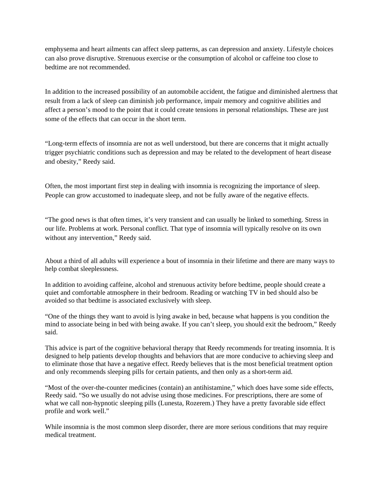emphysema and heart ailments can affect sleep patterns, as can depression and anxiety. Lifestyle choices can also prove disruptive. Strenuous exercise or the consumption of alcohol or caffeine too close to bedtime are not recommended.

In addition to the increased possibility of an automobile accident, the fatigue and diminished alertness that result from a lack of sleep can diminish job performance, impair memory and cognitive abilities and affect a person's mood to the point that it could create tensions in personal relationships. These are just some of the effects that can occur in the short term.

"Long-term effects of insomnia are not as well understood, but there are concerns that it might actually trigger psychiatric conditions such as depression and may be related to the development of heart disease and obesity," Reedy said.

Often, the most important first step in dealing with insomnia is recognizing the importance of sleep. People can grow accustomed to inadequate sleep, and not be fully aware of the negative effects.

"The good news is that often times, it's very transient and can usually be linked to something. Stress in our life. Problems at work. Personal conflict. That type of insomnia will typically resolve on its own without any intervention," Reedy said.

About a third of all adults will experience a bout of insomnia in their lifetime and there are many ways to help combat sleeplessness.

In addition to avoiding caffeine, alcohol and strenuous activity before bedtime, people should create a quiet and comfortable atmosphere in their bedroom. Reading or watching TV in bed should also be avoided so that bedtime is associated exclusively with sleep.

"One of the things they want to avoid is lying awake in bed, because what happens is you condition the mind to associate being in bed with being awake. If you can't sleep, you should exit the bedroom," Reedy said.

This advice is part of the cognitive behavioral therapy that Reedy recommends for treating insomnia. It is designed to help patients develop thoughts and behaviors that are more conducive to achieving sleep and to eliminate those that have a negative effect. Reedy believes that is the most beneficial treatment option and only recommends sleeping pills for certain patients, and then only as a short-term aid.

"Most of the over-the-counter medicines (contain) an antihistamine," which does have some side effects, Reedy said. "So we usually do not advise using those medicines. For prescriptions, there are some of what we call non-hypnotic sleeping pills (Lunesta, Rozerem.) They have a pretty favorable side effect profile and work well."

While insomnia is the most common sleep disorder, there are more serious conditions that may require medical treatment.